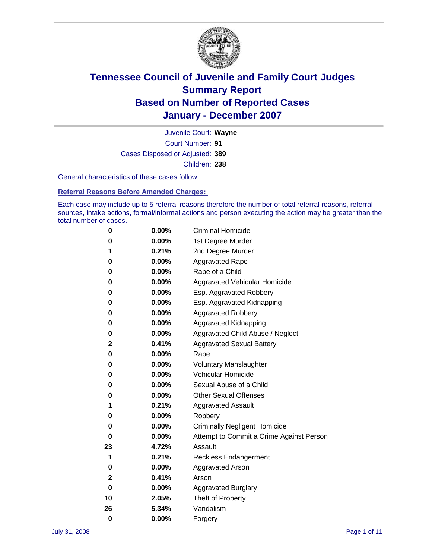

Court Number: **91** Juvenile Court: **Wayne** Cases Disposed or Adjusted: **389** Children: **238**

General characteristics of these cases follow:

**Referral Reasons Before Amended Charges:** 

Each case may include up to 5 referral reasons therefore the number of total referral reasons, referral sources, intake actions, formal/informal actions and person executing the action may be greater than the total number of cases.

| 0        | 0.00%    | <b>Criminal Homicide</b>                 |
|----------|----------|------------------------------------------|
| 0        | 0.00%    | 1st Degree Murder                        |
| 1        | 0.21%    | 2nd Degree Murder                        |
| 0        | 0.00%    | <b>Aggravated Rape</b>                   |
| 0        | 0.00%    | Rape of a Child                          |
| 0        | 0.00%    | Aggravated Vehicular Homicide            |
| 0        | 0.00%    | Esp. Aggravated Robbery                  |
| 0        | 0.00%    | Esp. Aggravated Kidnapping               |
| 0        | 0.00%    | <b>Aggravated Robbery</b>                |
| 0        | 0.00%    | Aggravated Kidnapping                    |
| 0        | 0.00%    | Aggravated Child Abuse / Neglect         |
| 2        | 0.41%    | <b>Aggravated Sexual Battery</b>         |
| 0        | 0.00%    | Rape                                     |
| 0        | 0.00%    | <b>Voluntary Manslaughter</b>            |
| 0        | 0.00%    | Vehicular Homicide                       |
| 0        | 0.00%    | Sexual Abuse of a Child                  |
| 0        | 0.00%    | <b>Other Sexual Offenses</b>             |
| 1        | 0.21%    | <b>Aggravated Assault</b>                |
| 0        | 0.00%    | Robbery                                  |
| 0        | 0.00%    | <b>Criminally Negligent Homicide</b>     |
| 0        | 0.00%    | Attempt to Commit a Crime Against Person |
| 23       | 4.72%    | Assault                                  |
| 1        | 0.21%    | <b>Reckless Endangerment</b>             |
| 0        | $0.00\%$ | <b>Aggravated Arson</b>                  |
| 2        | 0.41%    | Arson                                    |
| 0        | 0.00%    | <b>Aggravated Burglary</b>               |
| 10       | 2.05%    | Theft of Property                        |
| 26       | 5.34%    | Vandalism                                |
| $\bf{0}$ | 0.00%    | Forgery                                  |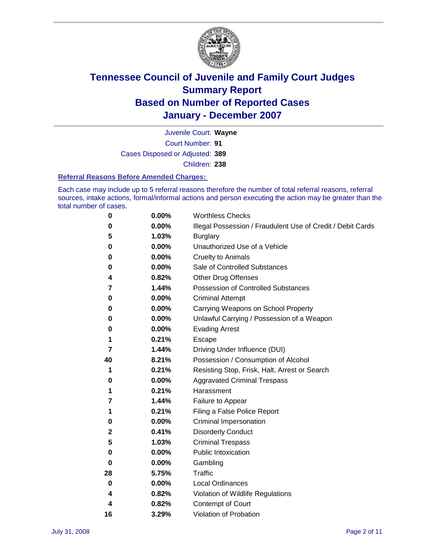

Court Number: **91** Juvenile Court: **Wayne** Cases Disposed or Adjusted: **389** Children: **238**

#### **Referral Reasons Before Amended Charges:**

Each case may include up to 5 referral reasons therefore the number of total referral reasons, referral sources, intake actions, formal/informal actions and person executing the action may be greater than the total number of cases.

| 0  | 0.00% | <b>Worthless Checks</b>                                     |
|----|-------|-------------------------------------------------------------|
| 0  | 0.00% | Illegal Possession / Fraudulent Use of Credit / Debit Cards |
| 5  | 1.03% | <b>Burglary</b>                                             |
| 0  | 0.00% | Unauthorized Use of a Vehicle                               |
| 0  | 0.00% | <b>Cruelty to Animals</b>                                   |
| 0  | 0.00% | Sale of Controlled Substances                               |
| 4  | 0.82% | <b>Other Drug Offenses</b>                                  |
| 7  | 1.44% | <b>Possession of Controlled Substances</b>                  |
| 0  | 0.00% | <b>Criminal Attempt</b>                                     |
| 0  | 0.00% | Carrying Weapons on School Property                         |
| 0  | 0.00% | Unlawful Carrying / Possession of a Weapon                  |
| 0  | 0.00% | <b>Evading Arrest</b>                                       |
| 1  | 0.21% | Escape                                                      |
| 7  | 1.44% | Driving Under Influence (DUI)                               |
| 40 | 8.21% | Possession / Consumption of Alcohol                         |
| 1  | 0.21% | Resisting Stop, Frisk, Halt, Arrest or Search               |
| 0  | 0.00% | <b>Aggravated Criminal Trespass</b>                         |
| 1  | 0.21% | Harassment                                                  |
| 7  | 1.44% | Failure to Appear                                           |
| 1  | 0.21% | Filing a False Police Report                                |
| 0  | 0.00% | Criminal Impersonation                                      |
| 2  | 0.41% | <b>Disorderly Conduct</b>                                   |
| 5  | 1.03% | <b>Criminal Trespass</b>                                    |
| 0  | 0.00% | <b>Public Intoxication</b>                                  |
| 0  | 0.00% | Gambling                                                    |
| 28 | 5.75% | <b>Traffic</b>                                              |
| 0  | 0.00% | <b>Local Ordinances</b>                                     |
| 4  | 0.82% | Violation of Wildlife Regulations                           |
| 4  | 0.82% | Contempt of Court                                           |
| 16 | 3.29% | Violation of Probation                                      |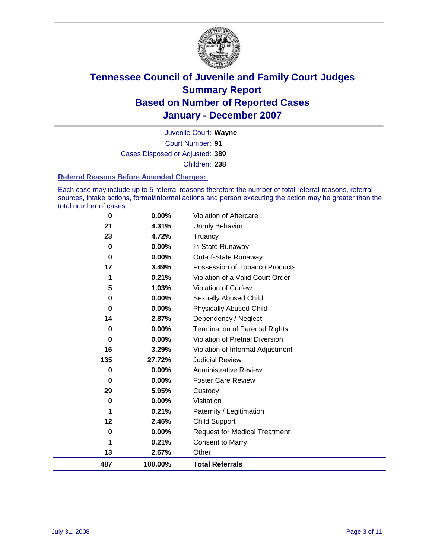

Court Number: **91** Juvenile Court: **Wayne** Cases Disposed or Adjusted: **389** Children: **238**

#### **Referral Reasons Before Amended Charges:**

Each case may include up to 5 referral reasons therefore the number of total referral reasons, referral sources, intake actions, formal/informal actions and person executing the action may be greater than the total number of cases.

| 487      | 100.00%  | <b>Total Referrals</b>                 |
|----------|----------|----------------------------------------|
| 13       | 2.67%    | Other                                  |
| 1        | 0.21%    | <b>Consent to Marry</b>                |
| $\bf{0}$ | 0.00%    | <b>Request for Medical Treatment</b>   |
| 12       | 2.46%    | Child Support                          |
| 1        | 0.21%    | Paternity / Legitimation               |
| 0        | $0.00\%$ | Visitation                             |
| 29       | 5.95%    | Custody                                |
| 0        | 0.00%    | <b>Foster Care Review</b>              |
| 0        | 0.00%    | <b>Administrative Review</b>           |
| 135      | 27.72%   | <b>Judicial Review</b>                 |
| 16       | 3.29%    | Violation of Informal Adjustment       |
| 0        | 0.00%    | <b>Violation of Pretrial Diversion</b> |
| 0        | 0.00%    | <b>Termination of Parental Rights</b>  |
| 14       | 2.87%    | Dependency / Neglect                   |
| $\bf{0}$ | 0.00%    | <b>Physically Abused Child</b>         |
| $\bf{0}$ | 0.00%    | <b>Sexually Abused Child</b>           |
| 5        | 1.03%    | Violation of Curfew                    |
| 1        | 0.21%    | Violation of a Valid Court Order       |
| 17       | 3.49%    | Possession of Tobacco Products         |
| 0        | $0.00\%$ | Out-of-State Runaway                   |
| $\bf{0}$ | 0.00%    | In-State Runaway                       |
| 23       | 4.72%    | Truancy                                |
| 21       | 4.31%    | Unruly Behavior                        |
| $\bf{0}$ | 0.00%    | Violation of Aftercare                 |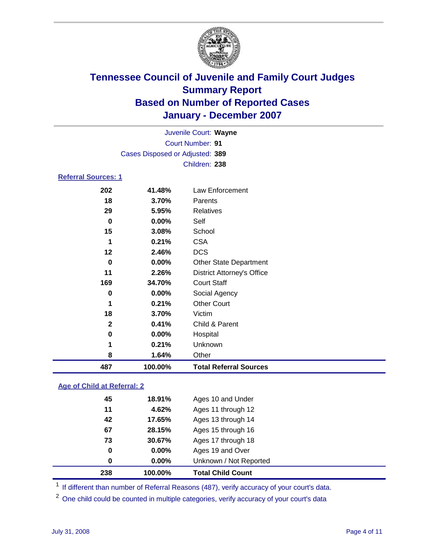

| Juvenile Court: Wayne           |  |
|---------------------------------|--|
| Court Number: 91                |  |
| Cases Disposed or Adjusted: 389 |  |
| Children: 238                   |  |

#### **Referral Sources: 1**

| 202         | 41.48%   | Law Enforcement                   |
|-------------|----------|-----------------------------------|
| 18          | 3.70%    | Parents                           |
| 29          | 5.95%    | Relatives                         |
| 0           | 0.00%    | Self                              |
| 15          | 3.08%    | School                            |
| 1           | 0.21%    | <b>CSA</b>                        |
| 12          | 2.46%    | <b>DCS</b>                        |
| 0           | $0.00\%$ | <b>Other State Department</b>     |
| 11          | 2.26%    | <b>District Attorney's Office</b> |
| 169         | 34.70%   | <b>Court Staff</b>                |
| 0           | 0.00%    | Social Agency                     |
| 1           | 0.21%    | <b>Other Court</b>                |
| 18          | 3.70%    | Victim                            |
| $\mathbf 2$ | 0.41%    | Child & Parent                    |
| 0           | 0.00%    | Hospital                          |
| 1           | 0.21%    | Unknown                           |
| 8           | 1.64%    | Other                             |
| 487         | 100.00%  | <b>Total Referral Sources</b>     |

#### **Age of Child at Referral: 2**

| 238 | 100.00% | <b>Total Child Count</b> |
|-----|---------|--------------------------|
| 0   | 0.00%   | Unknown / Not Reported   |
| 0   | 0.00%   | Ages 19 and Over         |
| 73  | 30.67%  | Ages 17 through 18       |
| 67  | 28.15%  | Ages 15 through 16       |
| 42  | 17.65%  | Ages 13 through 14       |
| 11  | 4.62%   | Ages 11 through 12       |
| 45  | 18.91%  | Ages 10 and Under        |
|     |         |                          |

<sup>1</sup> If different than number of Referral Reasons (487), verify accuracy of your court's data.

One child could be counted in multiple categories, verify accuracy of your court's data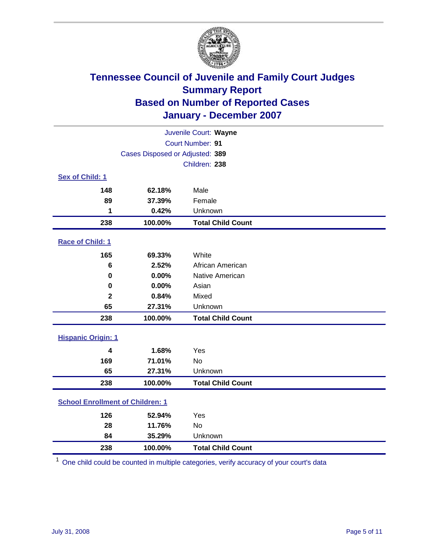

|                                         |                                 | Juvenile Court: Wayne    |  |  |  |
|-----------------------------------------|---------------------------------|--------------------------|--|--|--|
| Court Number: 91                        |                                 |                          |  |  |  |
|                                         | Cases Disposed or Adjusted: 389 |                          |  |  |  |
|                                         |                                 | Children: 238            |  |  |  |
| Sex of Child: 1                         |                                 |                          |  |  |  |
| 148                                     | 62.18%                          | Male                     |  |  |  |
| 89                                      | 37.39%                          | Female                   |  |  |  |
| 1                                       | 0.42%                           | Unknown                  |  |  |  |
| 238                                     | 100.00%                         | <b>Total Child Count</b> |  |  |  |
| Race of Child: 1                        |                                 |                          |  |  |  |
| 165                                     | 69.33%                          | White                    |  |  |  |
| $6\phantom{1}$                          | 2.52%                           | African American         |  |  |  |
| 0                                       | 0.00%                           | Native American          |  |  |  |
| 0                                       | 0.00%                           | Asian                    |  |  |  |
| $\overline{\mathbf{2}}$                 | 0.84%                           | Mixed                    |  |  |  |
| 65                                      | 27.31%                          | Unknown                  |  |  |  |
| 238                                     | 100.00%                         | <b>Total Child Count</b> |  |  |  |
| <b>Hispanic Origin: 1</b>               |                                 |                          |  |  |  |
| $\overline{\mathbf{4}}$                 | 1.68%                           | Yes                      |  |  |  |
| 169                                     | 71.01%                          | <b>No</b>                |  |  |  |
| 65                                      | 27.31%                          | Unknown                  |  |  |  |
| 238                                     | 100.00%                         | <b>Total Child Count</b> |  |  |  |
| <b>School Enrollment of Children: 1</b> |                                 |                          |  |  |  |
| 126                                     | 52.94%                          | Yes                      |  |  |  |
| 28                                      | 11.76%                          | No                       |  |  |  |
| 84                                      | 35.29%                          | Unknown                  |  |  |  |
| 238                                     | 100.00%                         | <b>Total Child Count</b> |  |  |  |

One child could be counted in multiple categories, verify accuracy of your court's data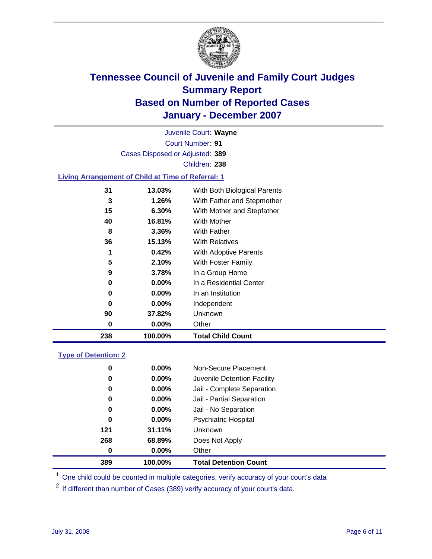

Court Number: **91** Juvenile Court: **Wayne** Cases Disposed or Adjusted: **389** Children: **238**

#### **Living Arrangement of Child at Time of Referral: 1**

|    |          | <b>Total Child Count</b>     |
|----|----------|------------------------------|
| 0  | 0.00%    | Other                        |
| 90 | 37.82%   | Unknown                      |
| 0  | $0.00\%$ | Independent                  |
| 0  | 0.00%    | In an Institution            |
| 0  | $0.00\%$ | In a Residential Center      |
| 9  | 3.78%    | In a Group Home              |
| 5  | 2.10%    | With Foster Family           |
| 1  | 0.42%    | With Adoptive Parents        |
| 36 | 15.13%   | <b>With Relatives</b>        |
| 8  | 3.36%    | With Father                  |
| 40 | 16.81%   | <b>With Mother</b>           |
| 15 | 6.30%    | With Mother and Stepfather   |
| 3  | 1.26%    | With Father and Stepmother   |
| 31 | 13.03%   | With Both Biological Parents |
|    |          | 238<br>100.00%               |

#### **Type of Detention: 2**

| 389 | 100.00%  | <b>Total Detention Count</b> |  |
|-----|----------|------------------------------|--|
| 0   | 0.00%    | Other                        |  |
| 268 | 68.89%   | Does Not Apply               |  |
| 121 | 31.11%   | <b>Unknown</b>               |  |
| 0   | $0.00\%$ | <b>Psychiatric Hospital</b>  |  |
| 0   | $0.00\%$ | Jail - No Separation         |  |
| 0   | $0.00\%$ | Jail - Partial Separation    |  |
| 0   | $0.00\%$ | Jail - Complete Separation   |  |
| 0   | $0.00\%$ | Juvenile Detention Facility  |  |
| 0   | $0.00\%$ | Non-Secure Placement         |  |
|     |          |                              |  |

<sup>1</sup> One child could be counted in multiple categories, verify accuracy of your court's data

<sup>2</sup> If different than number of Cases (389) verify accuracy of your court's data.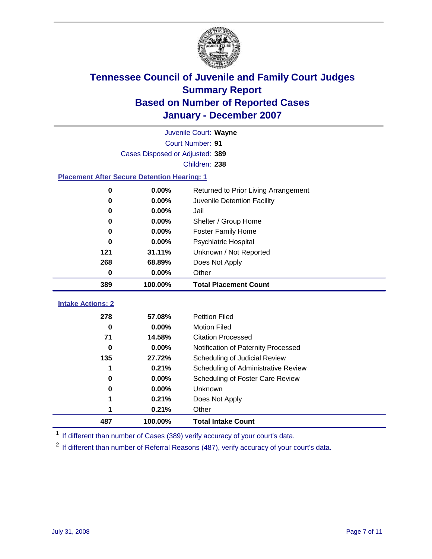

|                                                    | Juvenile Court: Wayne           |                                      |  |  |  |  |
|----------------------------------------------------|---------------------------------|--------------------------------------|--|--|--|--|
|                                                    | Court Number: 91                |                                      |  |  |  |  |
|                                                    | Cases Disposed or Adjusted: 389 |                                      |  |  |  |  |
|                                                    |                                 | Children: 238                        |  |  |  |  |
| <b>Placement After Secure Detention Hearing: 1</b> |                                 |                                      |  |  |  |  |
| 0                                                  | 0.00%                           | Returned to Prior Living Arrangement |  |  |  |  |
| $\bf{0}$                                           | 0.00%                           | Juvenile Detention Facility          |  |  |  |  |
| 0                                                  | 0.00%                           | Jail                                 |  |  |  |  |
| 0                                                  | 0.00%                           | Shelter / Group Home                 |  |  |  |  |
| 0                                                  | 0.00%                           | <b>Foster Family Home</b>            |  |  |  |  |
| $\bf{0}$                                           | 0.00%                           | Psychiatric Hospital                 |  |  |  |  |
| 121                                                | 31.11%                          | Unknown / Not Reported               |  |  |  |  |
| 268                                                | 68.89%                          | Does Not Apply                       |  |  |  |  |
| $\mathbf 0$                                        | 0.00%                           | Other                                |  |  |  |  |
| 389                                                | 100.00%                         | <b>Total Placement Count</b>         |  |  |  |  |
|                                                    |                                 |                                      |  |  |  |  |
| <b>Intake Actions: 2</b>                           |                                 |                                      |  |  |  |  |
| 278                                                | 57.08%                          | <b>Petition Filed</b>                |  |  |  |  |
| $\bf{0}$                                           | 0.00%                           | <b>Motion Filed</b>                  |  |  |  |  |
| 71                                                 | 14.58%                          | <b>Citation Processed</b>            |  |  |  |  |
| 0                                                  | 0.00%                           | Notification of Paternity Processed  |  |  |  |  |
| 135                                                | 27.72%                          | Scheduling of Judicial Review        |  |  |  |  |
| 1                                                  | 0.21%                           | Scheduling of Administrative Review  |  |  |  |  |
| 0                                                  | 0.00%                           | Scheduling of Foster Care Review     |  |  |  |  |
| 0                                                  | 0.00%                           | Unknown                              |  |  |  |  |
| 1                                                  | 0.21%                           | Does Not Apply                       |  |  |  |  |
| 1                                                  | 0.21%                           | Other                                |  |  |  |  |
| 487                                                | 100.00%                         | <b>Total Intake Count</b>            |  |  |  |  |

<sup>1</sup> If different than number of Cases (389) verify accuracy of your court's data.

<sup>2</sup> If different than number of Referral Reasons (487), verify accuracy of your court's data.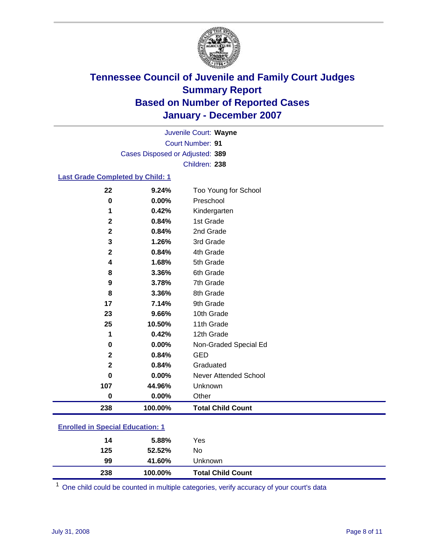

Court Number: **91** Juvenile Court: **Wayne** Cases Disposed or Adjusted: **389** Children: **238**

#### **Last Grade Completed by Child: 1**

| 238         | 100.00% | <b>Total Child Count</b> |
|-------------|---------|--------------------------|
| $\pmb{0}$   | 0.00%   | Other                    |
| 107         | 44.96%  | Unknown                  |
| 0           | 0.00%   | Never Attended School    |
| $\mathbf 2$ | 0.84%   | Graduated                |
| $\mathbf 2$ | 0.84%   | <b>GED</b>               |
| 0           | 0.00%   | Non-Graded Special Ed    |
| 1           | 0.42%   | 12th Grade               |
| 25          | 10.50%  | 11th Grade               |
| 23          | 9.66%   | 10th Grade               |
| 17          | 7.14%   | 9th Grade                |
| 8           | 3.36%   | 8th Grade                |
| 9           | 3.78%   | 7th Grade                |
| 8           | 3.36%   | 6th Grade                |
| 4           | 1.68%   | 5th Grade                |
| $\mathbf 2$ | 0.84%   | 4th Grade                |
| 3           | 1.26%   | 3rd Grade                |
| $\mathbf 2$ | 0.84%   | 2nd Grade                |
| $\mathbf 2$ | 0.84%   | 1st Grade                |
| 1           | 0.42%   | Kindergarten             |
| 0           | 0.00%   | Preschool                |
| 22          | 9.24%   | Too Young for School     |

### **Enrolled in Special Education: 1**

| 99<br>238 | 41.60%<br>100.00% | Unknown<br><b>Total Child Count</b> |
|-----------|-------------------|-------------------------------------|
| 125       | 52.52%            | No                                  |
| 14        | 5.88%             | Yes                                 |

<sup>1</sup> One child could be counted in multiple categories, verify accuracy of your court's data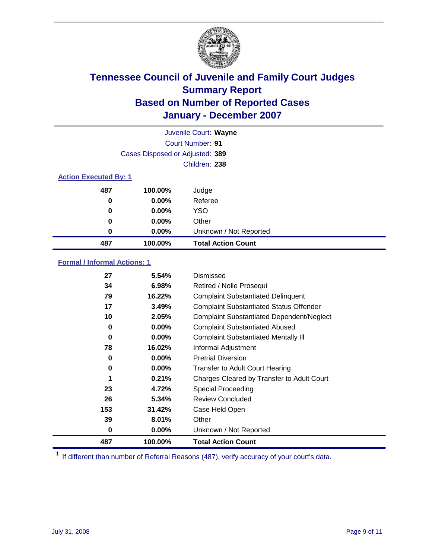

|                              |                                 | Juvenile Court: Wayne     |
|------------------------------|---------------------------------|---------------------------|
|                              |                                 | Court Number: 91          |
|                              | Cases Disposed or Adjusted: 389 |                           |
|                              |                                 | Children: 238             |
| <b>Action Executed By: 1</b> |                                 |                           |
| 487                          | 100.00%                         | Judge                     |
| 0                            | $0.00\%$                        | Referee                   |
| 0                            | $0.00\%$                        | <b>YSO</b>                |
| 0                            | $0.00\%$                        | Other                     |
| 0                            | $0.00\%$                        | Unknown / Not Reported    |
| 487                          | 100.00%                         | <b>Total Action Count</b> |

### **Formal / Informal Actions: 1**

| 27  | 5.54%    | Dismissed                                        |
|-----|----------|--------------------------------------------------|
| 34  | 6.98%    | Retired / Nolle Prosequi                         |
| 79  | 16.22%   | <b>Complaint Substantiated Delinquent</b>        |
| 17  | 3.49%    | <b>Complaint Substantiated Status Offender</b>   |
| 10  | 2.05%    | <b>Complaint Substantiated Dependent/Neglect</b> |
| 0   | $0.00\%$ | <b>Complaint Substantiated Abused</b>            |
| 0   | $0.00\%$ | <b>Complaint Substantiated Mentally III</b>      |
| 78  | 16.02%   | Informal Adjustment                              |
| 0   | $0.00\%$ | <b>Pretrial Diversion</b>                        |
| 0   | $0.00\%$ | <b>Transfer to Adult Court Hearing</b>           |
|     | 0.21%    | Charges Cleared by Transfer to Adult Court       |
| 23  | 4.72%    | Special Proceeding                               |
| 26  | 5.34%    | <b>Review Concluded</b>                          |
| 153 | 31.42%   | Case Held Open                                   |
| 39  | 8.01%    | Other                                            |
| 0   | $0.00\%$ | Unknown / Not Reported                           |
| 487 | 100.00%  | <b>Total Action Count</b>                        |

<sup>1</sup> If different than number of Referral Reasons (487), verify accuracy of your court's data.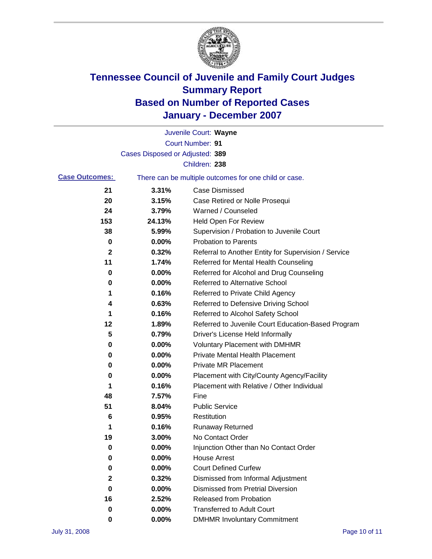

|                       |                                 | Juvenile Court: Wayne                                 |
|-----------------------|---------------------------------|-------------------------------------------------------|
|                       |                                 | Court Number: 91                                      |
|                       | Cases Disposed or Adjusted: 389 |                                                       |
|                       |                                 | Children: 238                                         |
| <b>Case Outcomes:</b> |                                 | There can be multiple outcomes for one child or case. |
| 21                    | 3.31%                           | <b>Case Dismissed</b>                                 |
| 20                    | 3.15%                           | Case Retired or Nolle Prosequi                        |
| 24                    | 3.79%                           | Warned / Counseled                                    |
| 153                   | 24.13%                          | <b>Held Open For Review</b>                           |
| 38                    | 5.99%                           | Supervision / Probation to Juvenile Court             |
| 0                     | 0.00%                           | <b>Probation to Parents</b>                           |
| 2                     | 0.32%                           | Referral to Another Entity for Supervision / Service  |
| 11                    | 1.74%                           | Referred for Mental Health Counseling                 |
| 0                     | 0.00%                           | Referred for Alcohol and Drug Counseling              |
| 0                     | 0.00%                           | <b>Referred to Alternative School</b>                 |
| 1                     | 0.16%                           | Referred to Private Child Agency                      |
| 4                     | 0.63%                           | Referred to Defensive Driving School                  |
| 1                     | 0.16%                           | Referred to Alcohol Safety School                     |
| 12                    | 1.89%                           | Referred to Juvenile Court Education-Based Program    |
| 5                     | 0.79%                           | Driver's License Held Informally                      |
| 0                     | 0.00%                           | <b>Voluntary Placement with DMHMR</b>                 |
| 0                     | 0.00%                           | <b>Private Mental Health Placement</b>                |
| 0                     | 0.00%                           | <b>Private MR Placement</b>                           |
| 0                     | 0.00%                           | Placement with City/County Agency/Facility            |
| 1                     | 0.16%                           | Placement with Relative / Other Individual            |
| 48                    | 7.57%                           | Fine                                                  |
| 51                    | 8.04%                           | <b>Public Service</b>                                 |
| 6                     | 0.95%                           | Restitution                                           |
| 1                     | 0.16%                           | <b>Runaway Returned</b>                               |
| 19                    | 3.00%                           | No Contact Order                                      |
| 0                     | 0.00%                           | Injunction Other than No Contact Order                |
| 0                     | 0.00%                           | <b>House Arrest</b>                                   |
| 0                     | 0.00%                           | <b>Court Defined Curfew</b>                           |
| 2                     | 0.32%                           | Dismissed from Informal Adjustment                    |
| $\pmb{0}$             | 0.00%                           | <b>Dismissed from Pretrial Diversion</b>              |
| 16                    | 2.52%                           | Released from Probation                               |
| 0                     | 0.00%                           | <b>Transferred to Adult Court</b>                     |
| 0                     | 0.00%                           | <b>DMHMR Involuntary Commitment</b>                   |